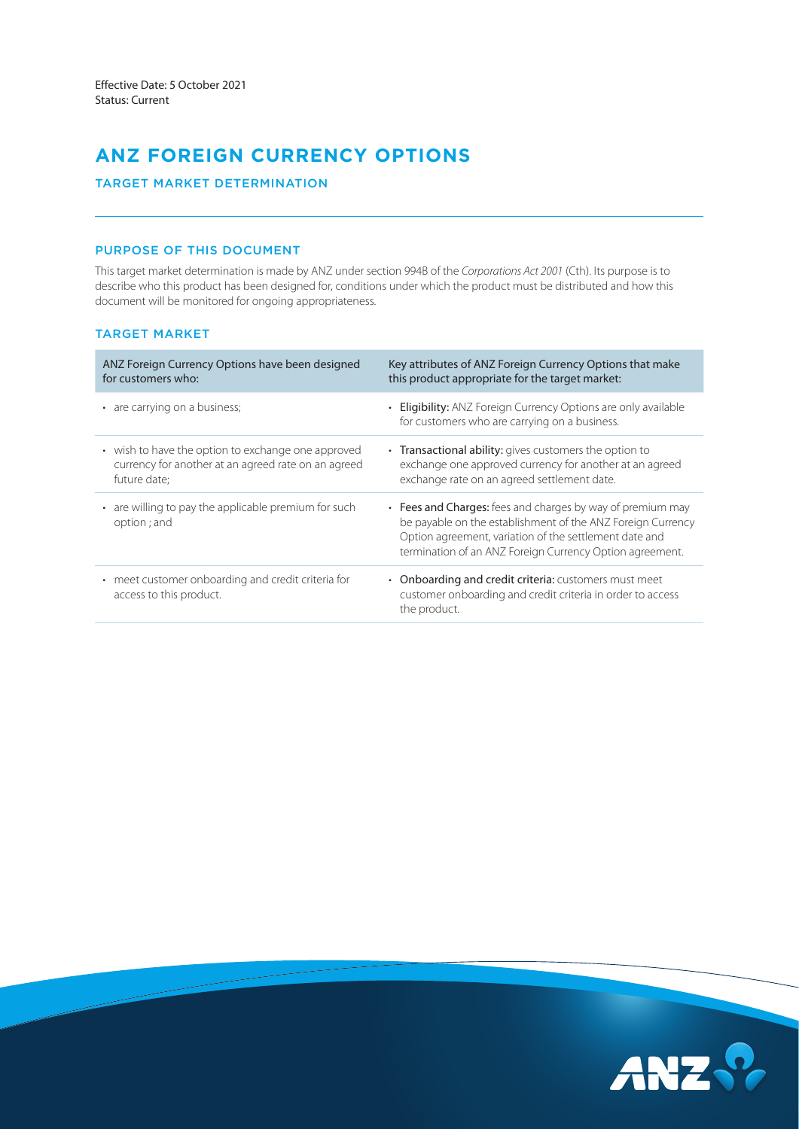# **ANZ FOREIGN CURRENCY OPTIONS**

TARGET MARKET DETERMINATION

### PURPOSE OF THIS DOCUMENT

This target market determination is made by ANZ under section 994B of the *Corporations Act 2001* (Cth). Its purpose is to describe who this product has been designed for, conditions under which the product must be distributed and how this document will be monitored for ongoing appropriateness.

## TARGET MARKET

| ANZ Foreign Currency Options have been designed<br>for customers who:                                                     | Key attributes of ANZ Foreign Currency Options that make<br>this product appropriate for the target market:                                                                                                                                     |
|---------------------------------------------------------------------------------------------------------------------------|-------------------------------------------------------------------------------------------------------------------------------------------------------------------------------------------------------------------------------------------------|
| • are carrying on a business;                                                                                             | • Eligibility: ANZ Foreign Currency Options are only available<br>for customers who are carrying on a business.                                                                                                                                 |
| • wish to have the option to exchange one approved<br>currency for another at an agreed rate on an agreed<br>future date: | • Transactional ability: gives customers the option to<br>exchange one approved currency for another at an agreed<br>exchange rate on an agreed settlement date.                                                                                |
| • are willing to pay the applicable premium for such<br>option; and                                                       | • Fees and Charges: fees and charges by way of premium may<br>be payable on the establishment of the ANZ Foreign Currency<br>Option agreement, variation of the settlement date and<br>termination of an ANZ Foreign Currency Option agreement. |
| • meet customer onboarding and credit criteria for<br>access to this product.                                             | • Onboarding and credit criteria: customers must meet<br>customer onboarding and credit criteria in order to access<br>the product.                                                                                                             |

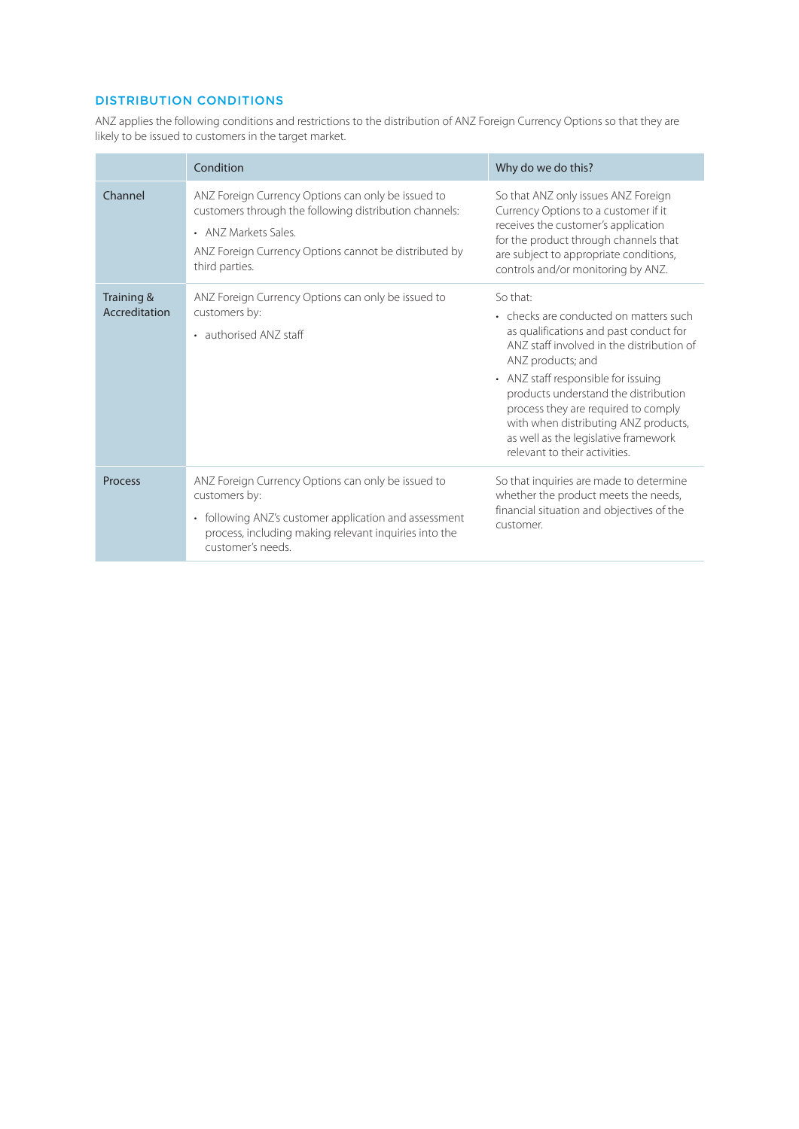## DISTRIBUTION CONDITIONS

ANZ applies the following conditions and restrictions to the distribution of ANZ Foreign Currency Options so that they are likely to be issued to customers in the target market.

|                             | Condition                                                                                                                                                                                                             | Why do we do this?                                                                                                                                                                                                                                                                                                                                                                                    |
|-----------------------------|-----------------------------------------------------------------------------------------------------------------------------------------------------------------------------------------------------------------------|-------------------------------------------------------------------------------------------------------------------------------------------------------------------------------------------------------------------------------------------------------------------------------------------------------------------------------------------------------------------------------------------------------|
| Channel                     | ANZ Foreign Currency Options can only be issued to<br>customers through the following distribution channels:<br>• ANZ Markets Sales<br>ANZ Foreign Currency Options cannot be distributed by<br>third parties.        | So that ANZ only issues ANZ Foreign<br>Currency Options to a customer if it<br>receives the customer's application<br>for the product through channels that<br>are subject to appropriate conditions,<br>controls and/or monitoring by ANZ.                                                                                                                                                           |
| Training &<br>Accreditation | ANZ Foreign Currency Options can only be issued to<br>customers by:<br>• authorised ANZ staff                                                                                                                         | So that:<br>• checks are conducted on matters such<br>as qualifications and past conduct for<br>ANZ staff involved in the distribution of<br>ANZ products; and<br>• ANZ staff responsible for issuing<br>products understand the distribution<br>process they are required to comply<br>with when distributing ANZ products,<br>as well as the legislative framework<br>relevant to their activities. |
| Process                     | ANZ Foreign Currency Options can only be issued to<br>customers by:<br>following ANZ's customer application and assessment<br>$\bullet$<br>process, including making relevant inquiries into the<br>customer's needs. | So that inquiries are made to determine<br>whether the product meets the needs,<br>financial situation and objectives of the<br>customer.                                                                                                                                                                                                                                                             |